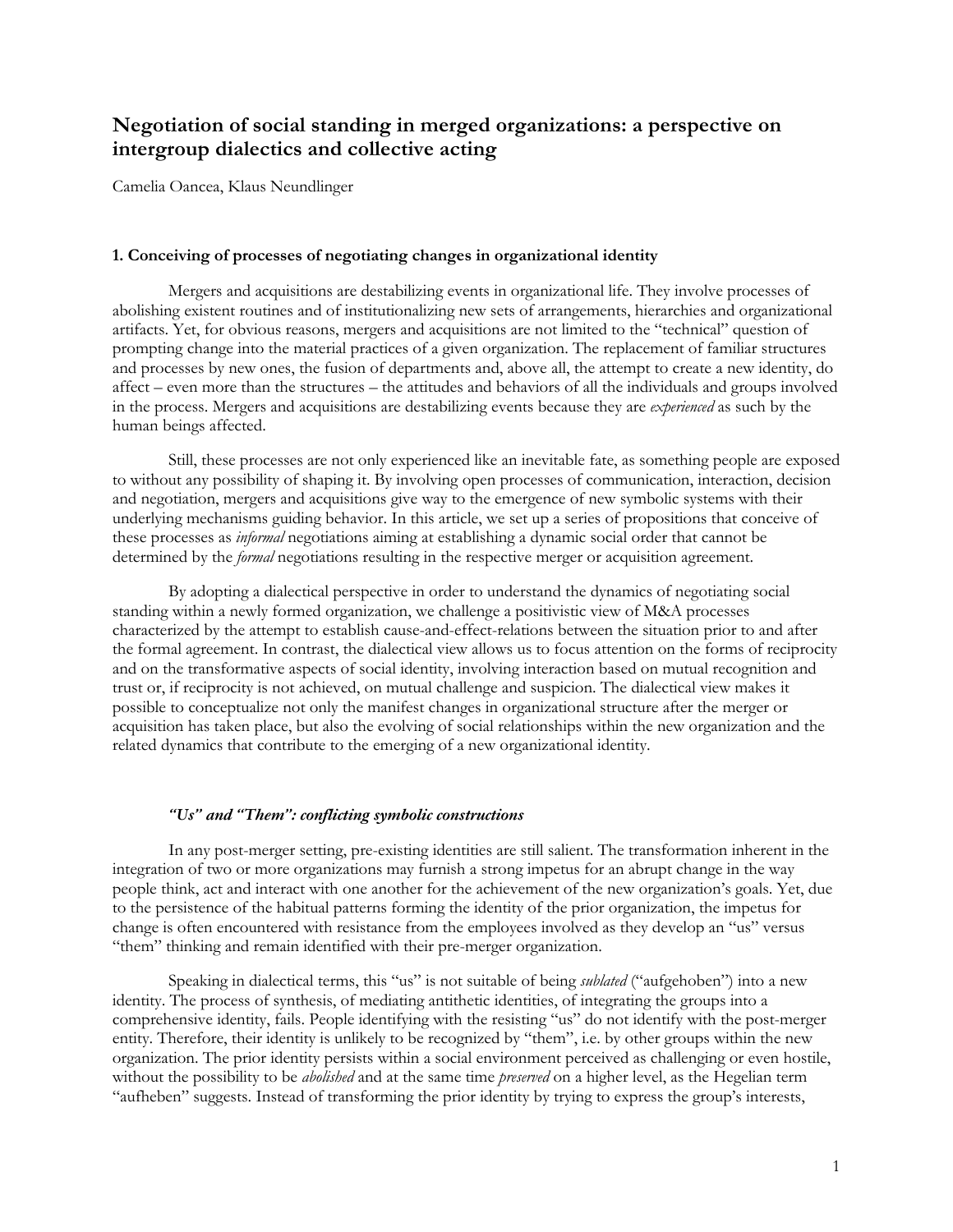# **Negotiation of social standing in merged organizations: a perspective on intergroup dialectics and collective acting**

Camelia Oancea, Klaus Neundlinger

## **1. Conceiving of processes of negotiating changes in organizational identity**

Mergers and acquisitions are destabilizing events in organizational life. They involve processes of abolishing existent routines and of institutionalizing new sets of arrangements, hierarchies and organizational artifacts. Yet, for obvious reasons, mergers and acquisitions are not limited to the "technical" question of prompting change into the material practices of a given organization. The replacement of familiar structures and processes by new ones, the fusion of departments and, above all, the attempt to create a new identity, do affect – even more than the structures – the attitudes and behaviors of all the individuals and groups involved in the process. Mergers and acquisitions are destabilizing events because they are *experienced* as such by the human beings affected.

Still, these processes are not only experienced like an inevitable fate, as something people are exposed to without any possibility of shaping it. By involving open processes of communication, interaction, decision and negotiation, mergers and acquisitions give way to the emergence of new symbolic systems with their underlying mechanisms guiding behavior. In this article, we set up a series of propositions that conceive of these processes as *informal* negotiations aiming at establishing a dynamic social order that cannot be determined by the *formal* negotiations resulting in the respective merger or acquisition agreement.

By adopting a dialectical perspective in order to understand the dynamics of negotiating social standing within a newly formed organization, we challenge a positivistic view of M&A processes characterized by the attempt to establish cause-and-effect-relations between the situation prior to and after the formal agreement. In contrast, the dialectical view allows us to focus attention on the forms of reciprocity and on the transformative aspects of social identity, involving interaction based on mutual recognition and trust or, if reciprocity is not achieved, on mutual challenge and suspicion. The dialectical view makes it possible to conceptualize not only the manifest changes in organizational structure after the merger or acquisition has taken place, but also the evolving of social relationships within the new organization and the related dynamics that contribute to the emerging of a new organizational identity.

## *"Us" and "Them": conflicting symbolic constructions*

In any post-merger setting, pre-existing identities are still salient. The transformation inherent in the integration of two or more organizations may furnish a strong impetus for an abrupt change in the way people think, act and interact with one another for the achievement of the new organization's goals. Yet, due to the persistence of the habitual patterns forming the identity of the prior organization, the impetus for change is often encountered with resistance from the employees involved as they develop an "us" versus "them" thinking and remain identified with their pre-merger organization.

Speaking in dialectical terms, this "us" is not suitable of being *sublated* ("aufgehoben") into a new identity. The process of synthesis, of mediating antithetic identities, of integrating the groups into a comprehensive identity, fails. People identifying with the resisting "us" do not identify with the post-merger entity. Therefore, their identity is unlikely to be recognized by "them", i.e. by other groups within the new organization. The prior identity persists within a social environment perceived as challenging or even hostile, without the possibility to be *abolished* and at the same time *preserved* on a higher level, as the Hegelian term "aufheben" suggests. Instead of transforming the prior identity by trying to express the group's interests,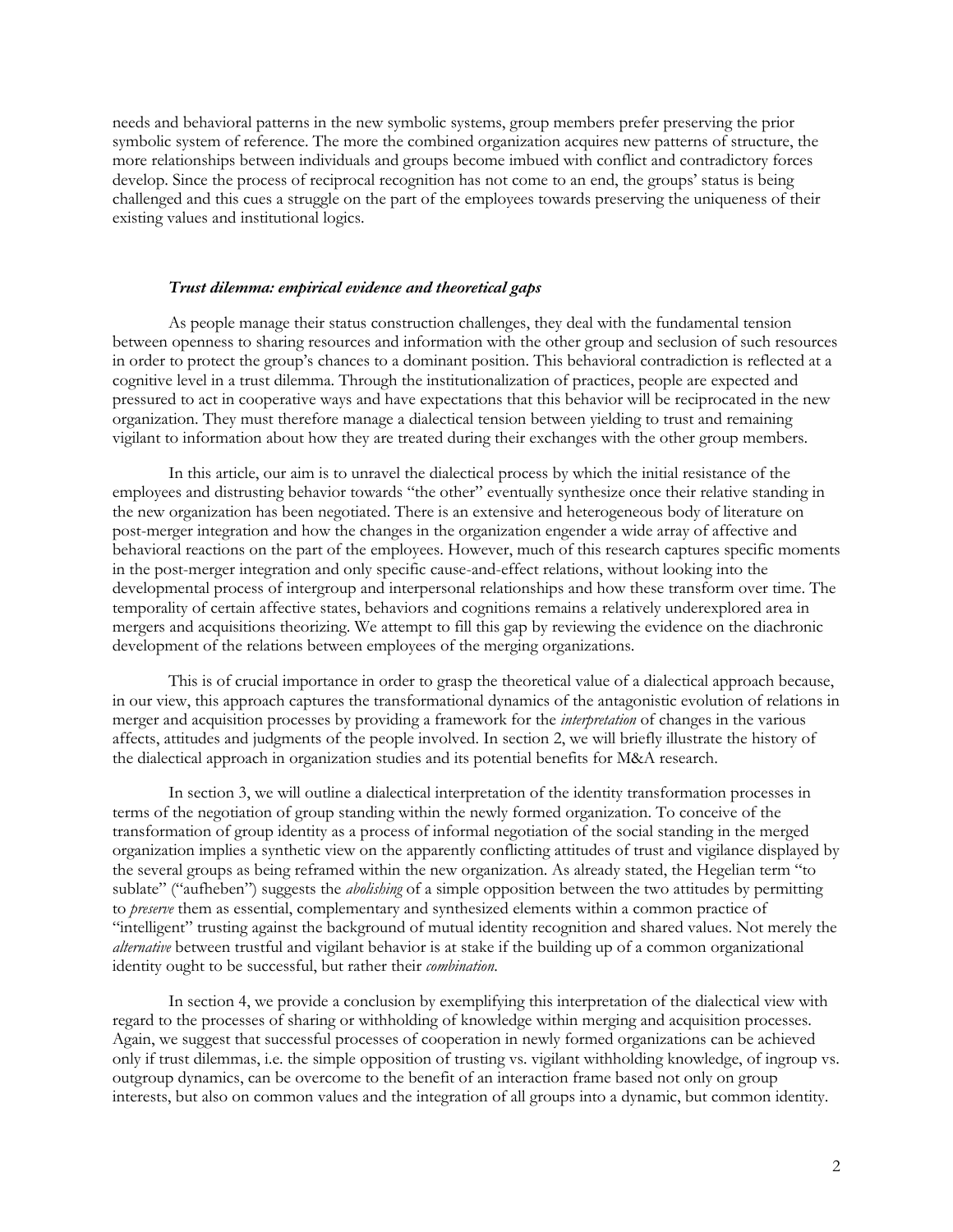needs and behavioral patterns in the new symbolic systems, group members prefer preserving the prior symbolic system of reference. The more the combined organization acquires new patterns of structure, the more relationships between individuals and groups become imbued with conflict and contradictory forces develop. Since the process of reciprocal recognition has not come to an end, the groups' status is being challenged and this cues a struggle on the part of the employees towards preserving the uniqueness of their existing values and institutional logics.

## *Trust dilemma: empirical evidence and theoretical gaps*

As people manage their status construction challenges, they deal with the fundamental tension between openness to sharing resources and information with the other group and seclusion of such resources in order to protect the group's chances to a dominant position. This behavioral contradiction is reflected at a cognitive level in a trust dilemma. Through the institutionalization of practices, people are expected and pressured to act in cooperative ways and have expectations that this behavior will be reciprocated in the new organization. They must therefore manage a dialectical tension between yielding to trust and remaining vigilant to information about how they are treated during their exchanges with the other group members.

In this article, our aim is to unravel the dialectical process by which the initial resistance of the employees and distrusting behavior towards "the other" eventually synthesize once their relative standing in the new organization has been negotiated. There is an extensive and heterogeneous body of literature on post-merger integration and how the changes in the organization engender a wide array of affective and behavioral reactions on the part of the employees. However, much of this research captures specific moments in the post-merger integration and only specific cause-and-effect relations, without looking into the developmental process of intergroup and interpersonal relationships and how these transform over time. The temporality of certain affective states, behaviors and cognitions remains a relatively underexplored area in mergers and acquisitions theorizing. We attempt to fill this gap by reviewing the evidence on the diachronic development of the relations between employees of the merging organizations.

This is of crucial importance in order to grasp the theoretical value of a dialectical approach because, in our view, this approach captures the transformational dynamics of the antagonistic evolution of relations in merger and acquisition processes by providing a framework for the *interpretation* of changes in the various affects, attitudes and judgments of the people involved. In section 2, we will briefly illustrate the history of the dialectical approach in organization studies and its potential benefits for M&A research.

In section 3, we will outline a dialectical interpretation of the identity transformation processes in terms of the negotiation of group standing within the newly formed organization. To conceive of the transformation of group identity as a process of informal negotiation of the social standing in the merged organization implies a synthetic view on the apparently conflicting attitudes of trust and vigilance displayed by the several groups as being reframed within the new organization. As already stated, the Hegelian term "to sublate" ("aufheben") suggests the *abolishing* of a simple opposition between the two attitudes by permitting to *preserve* them as essential, complementary and synthesized elements within a common practice of "intelligent" trusting against the background of mutual identity recognition and shared values. Not merely the *alternative* between trustful and vigilant behavior is at stake if the building up of a common organizational identity ought to be successful, but rather their *combination*.

In section 4, we provide a conclusion by exemplifying this interpretation of the dialectical view with regard to the processes of sharing or withholding of knowledge within merging and acquisition processes. Again, we suggest that successful processes of cooperation in newly formed organizations can be achieved only if trust dilemmas, i.e. the simple opposition of trusting vs. vigilant withholding knowledge, of ingroup vs. outgroup dynamics, can be overcome to the benefit of an interaction frame based not only on group interests, but also on common values and the integration of all groups into a dynamic, but common identity.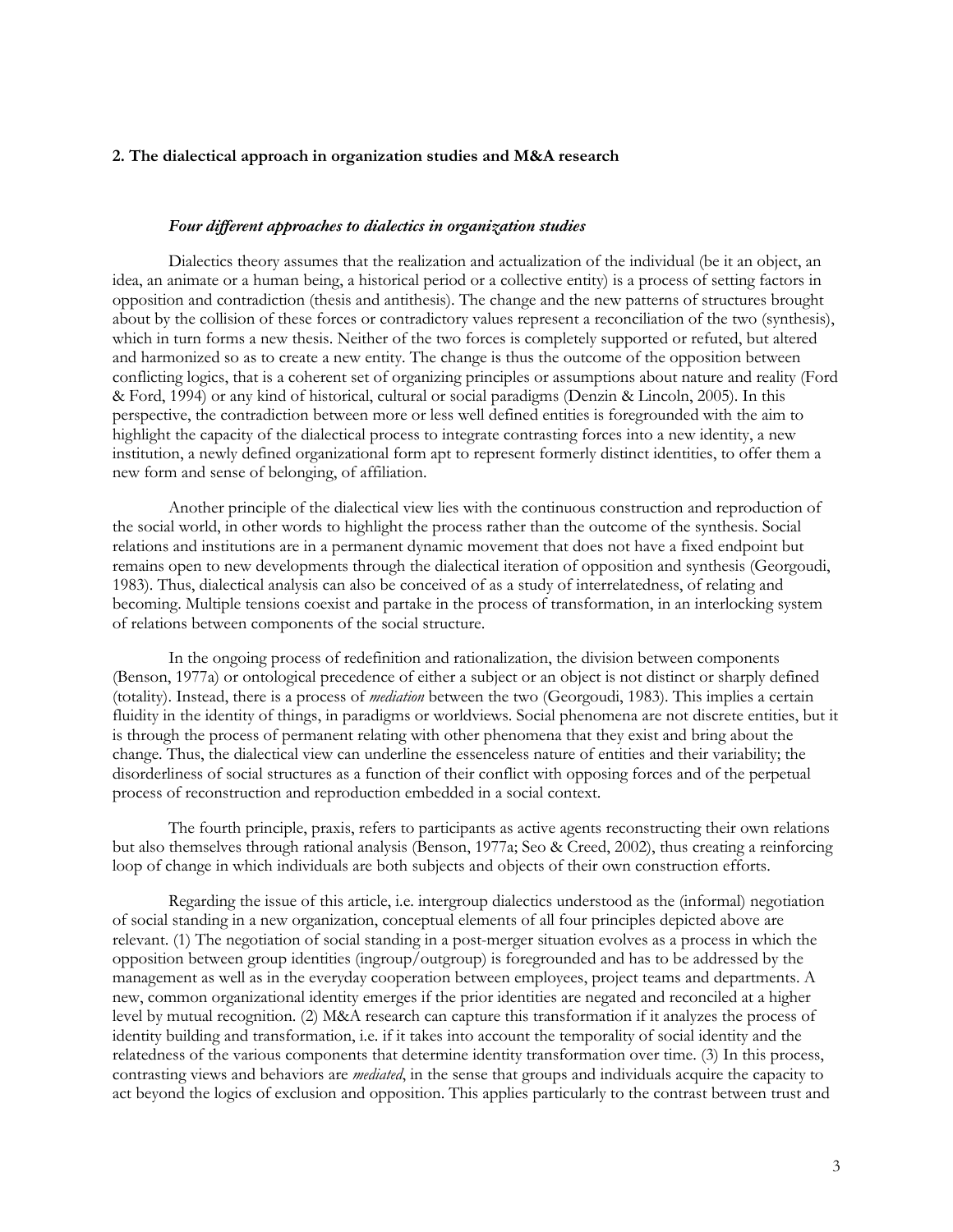# **2. The dialectical approach in organization studies and M&A research**

#### *Four different approaches to dialectics in organization studies*

Dialectics theory assumes that the realization and actualization of the individual (be it an object, an idea, an animate or a human being, a historical period or a collective entity) is a process of setting factors in opposition and contradiction (thesis and antithesis). The change and the new patterns of structures brought about by the collision of these forces or contradictory values represent a reconciliation of the two (synthesis), which in turn forms a new thesis. Neither of the two forces is completely supported or refuted, but altered and harmonized so as to create a new entity. The change is thus the outcome of the opposition between conflicting logics, that is a coherent set of organizing principles or assumptions about nature and reality (Ford & Ford, 1994) or any kind of historical, cultural or social paradigms (Denzin & Lincoln, 2005). In this perspective, the contradiction between more or less well defined entities is foregrounded with the aim to highlight the capacity of the dialectical process to integrate contrasting forces into a new identity, a new institution, a newly defined organizational form apt to represent formerly distinct identities, to offer them a new form and sense of belonging, of affiliation.

Another principle of the dialectical view lies with the continuous construction and reproduction of the social world, in other words to highlight the process rather than the outcome of the synthesis. Social relations and institutions are in a permanent dynamic movement that does not have a fixed endpoint but remains open to new developments through the dialectical iteration of opposition and synthesis (Georgoudi, 1983). Thus, dialectical analysis can also be conceived of as a study of interrelatedness, of relating and becoming. Multiple tensions coexist and partake in the process of transformation, in an interlocking system of relations between components of the social structure.

In the ongoing process of redefinition and rationalization, the division between components (Benson, 1977a) or ontological precedence of either a subject or an object is not distinct or sharply defined (totality). Instead, there is a process of *mediation* between the two (Georgoudi, 1983). This implies a certain fluidity in the identity of things, in paradigms or worldviews. Social phenomena are not discrete entities, but it is through the process of permanent relating with other phenomena that they exist and bring about the change. Thus, the dialectical view can underline the essenceless nature of entities and their variability; the disorderliness of social structures as a function of their conflict with opposing forces and of the perpetual process of reconstruction and reproduction embedded in a social context.

The fourth principle, praxis, refers to participants as active agents reconstructing their own relations but also themselves through rational analysis (Benson, 1977a; Seo & Creed, 2002), thus creating a reinforcing loop of change in which individuals are both subjects and objects of their own construction efforts.

Regarding the issue of this article, i.e. intergroup dialectics understood as the (informal) negotiation of social standing in a new organization, conceptual elements of all four principles depicted above are relevant. (1) The negotiation of social standing in a post-merger situation evolves as a process in which the opposition between group identities (ingroup/outgroup) is foregrounded and has to be addressed by the management as well as in the everyday cooperation between employees, project teams and departments. A new, common organizational identity emerges if the prior identities are negated and reconciled at a higher level by mutual recognition. (2) M&A research can capture this transformation if it analyzes the process of identity building and transformation, i.e. if it takes into account the temporality of social identity and the relatedness of the various components that determine identity transformation over time. (3) In this process, contrasting views and behaviors are *mediated*, in the sense that groups and individuals acquire the capacity to act beyond the logics of exclusion and opposition. This applies particularly to the contrast between trust and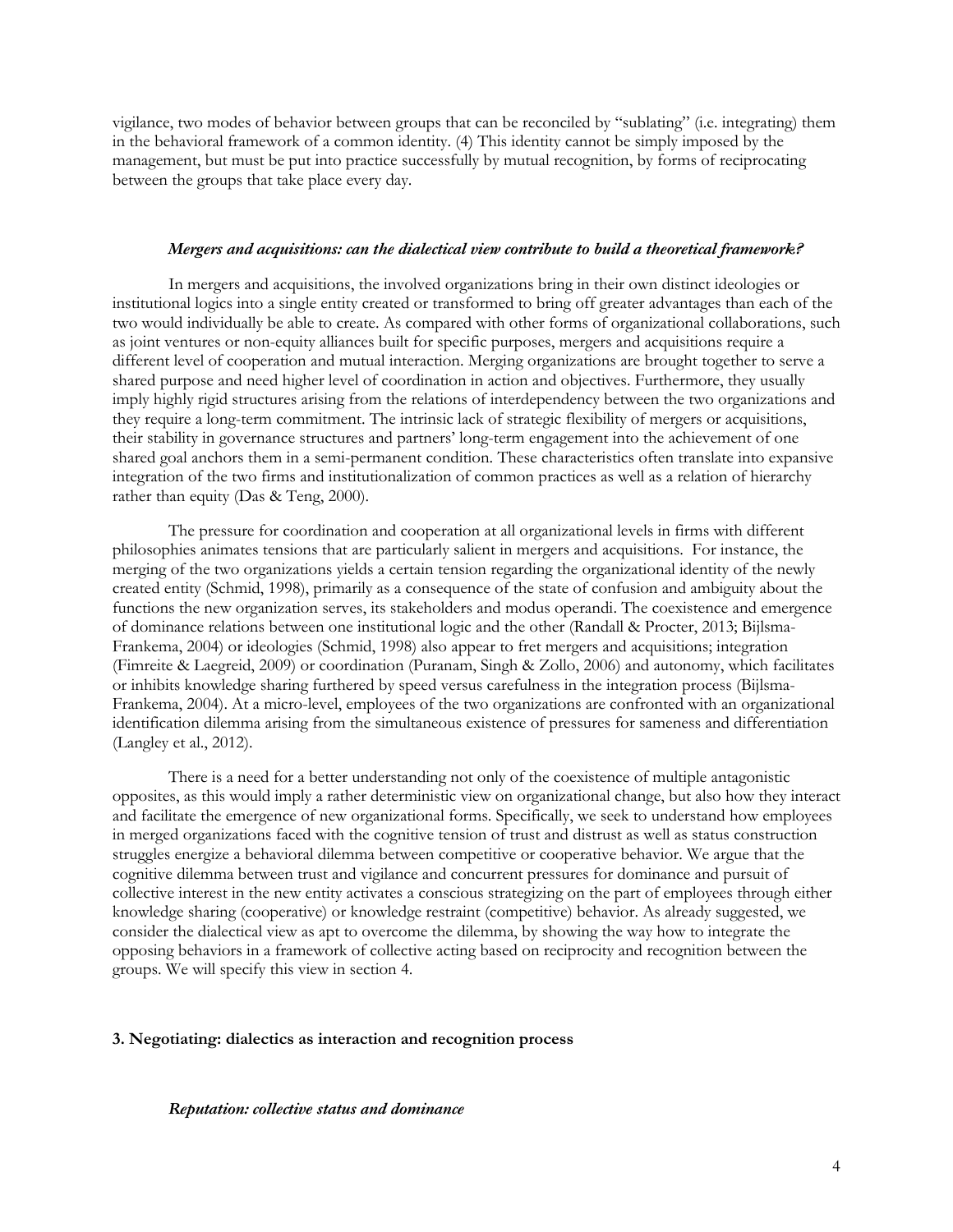vigilance, two modes of behavior between groups that can be reconciled by "sublating" (i.e. integrating) them in the behavioral framework of a common identity. (4) This identity cannot be simply imposed by the management, but must be put into practice successfully by mutual recognition, by forms of reciprocating between the groups that take place every day.

## *Mergers and acquisitions: can the dialectical view contribute to build a theoretical framework?*

In mergers and acquisitions, the involved organizations bring in their own distinct ideologies or institutional logics into a single entity created or transformed to bring off greater advantages than each of the two would individually be able to create. As compared with other forms of organizational collaborations, such as joint ventures or non-equity alliances built for specific purposes, mergers and acquisitions require a different level of cooperation and mutual interaction. Merging organizations are brought together to serve a shared purpose and need higher level of coordination in action and objectives. Furthermore, they usually imply highly rigid structures arising from the relations of interdependency between the two organizations and they require a long-term commitment. The intrinsic lack of strategic flexibility of mergers or acquisitions, their stability in governance structures and partners' long-term engagement into the achievement of one shared goal anchors them in a semi-permanent condition. These characteristics often translate into expansive integration of the two firms and institutionalization of common practices as well as a relation of hierarchy rather than equity (Das & Teng, 2000).

The pressure for coordination and cooperation at all organizational levels in firms with different philosophies animates tensions that are particularly salient in mergers and acquisitions. For instance, the merging of the two organizations yields a certain tension regarding the organizational identity of the newly created entity (Schmid, 1998), primarily as a consequence of the state of confusion and ambiguity about the functions the new organization serves, its stakeholders and modus operandi. The coexistence and emergence of dominance relations between one institutional logic and the other (Randall & Procter, 2013; Bijlsma-Frankema, 2004) or ideologies (Schmid, 1998) also appear to fret mergers and acquisitions; integration (Fimreite & Laegreid, 2009) or coordination (Puranam, Singh & Zollo, 2006) and autonomy, which facilitates or inhibits knowledge sharing furthered by speed versus carefulness in the integration process (Bijlsma-Frankema, 2004). At a micro-level, employees of the two organizations are confronted with an organizational identification dilemma arising from the simultaneous existence of pressures for sameness and differentiation (Langley et al., 2012).

There is a need for a better understanding not only of the coexistence of multiple antagonistic opposites, as this would imply a rather deterministic view on organizational change, but also how they interact and facilitate the emergence of new organizational forms. Specifically, we seek to understand how employees in merged organizations faced with the cognitive tension of trust and distrust as well as status construction struggles energize a behavioral dilemma between competitive or cooperative behavior. We argue that the cognitive dilemma between trust and vigilance and concurrent pressures for dominance and pursuit of collective interest in the new entity activates a conscious strategizing on the part of employees through either knowledge sharing (cooperative) or knowledge restraint (competitive) behavior. As already suggested, we consider the dialectical view as apt to overcome the dilemma, by showing the way how to integrate the opposing behaviors in a framework of collective acting based on reciprocity and recognition between the groups. We will specify this view in section 4.

## **3. Negotiating: dialectics as interaction and recognition process**

#### *Reputation: collective status and dominance*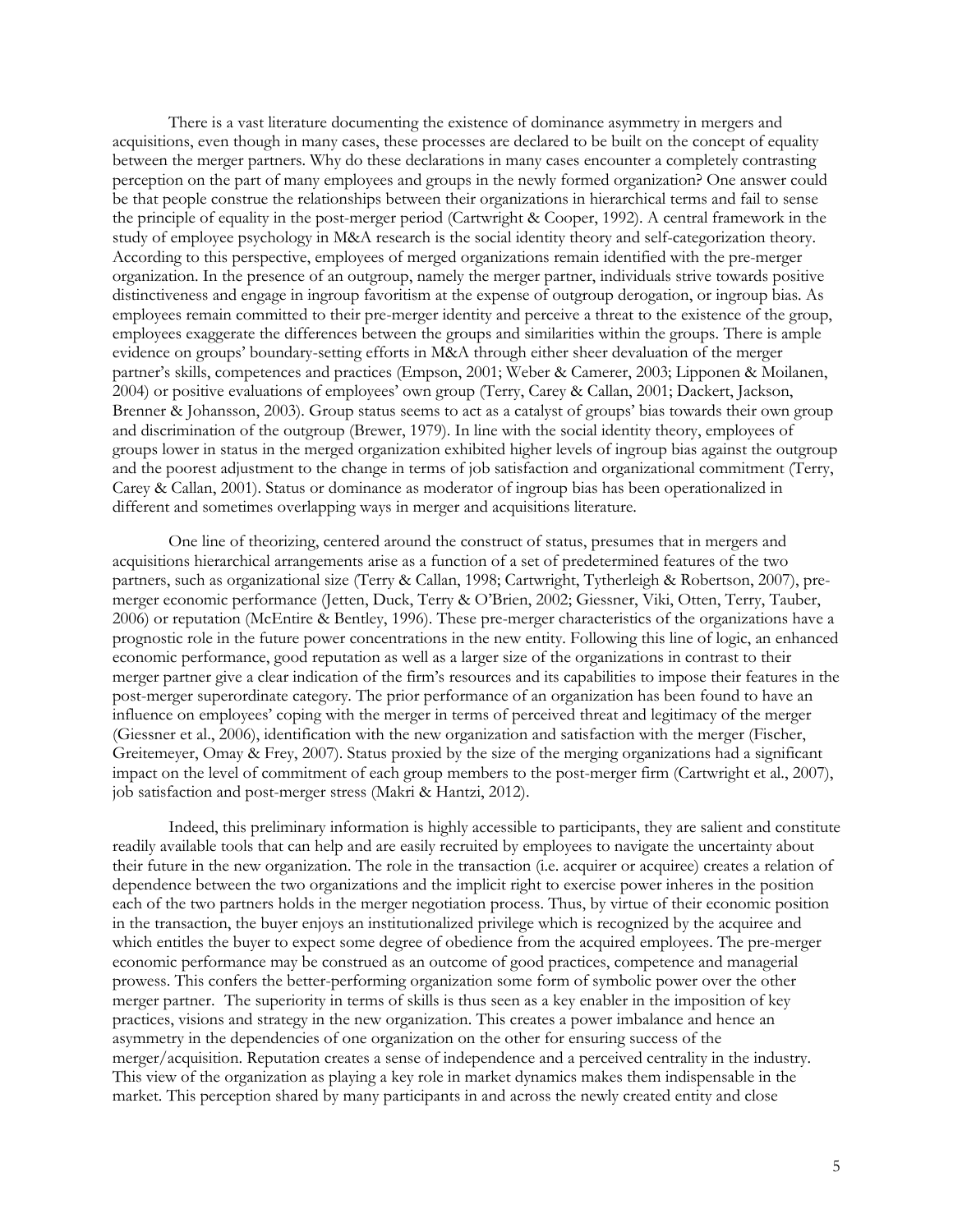There is a vast literature documenting the existence of dominance asymmetry in mergers and acquisitions, even though in many cases, these processes are declared to be built on the concept of equality between the merger partners. Why do these declarations in many cases encounter a completely contrasting perception on the part of many employees and groups in the newly formed organization? One answer could be that people construe the relationships between their organizations in hierarchical terms and fail to sense the principle of equality in the post-merger period (Cartwright & Cooper, 1992). A central framework in the study of employee psychology in M&A research is the social identity theory and self-categorization theory. According to this perspective, employees of merged organizations remain identified with the pre-merger organization. In the presence of an outgroup, namely the merger partner, individuals strive towards positive distinctiveness and engage in ingroup favoritism at the expense of outgroup derogation, or ingroup bias. As employees remain committed to their pre-merger identity and perceive a threat to the existence of the group, employees exaggerate the differences between the groups and similarities within the groups. There is ample evidence on groups' boundary-setting efforts in M&A through either sheer devaluation of the merger partner's skills, competences and practices (Empson, 2001; Weber & Camerer, 2003; Lipponen & Moilanen, 2004) or positive evaluations of employees' own group (Terry, Carey & Callan, 2001; Dackert, Jackson, Brenner & Johansson, 2003). Group status seems to act as a catalyst of groups' bias towards their own group and discrimination of the outgroup (Brewer, 1979). In line with the social identity theory, employees of groups lower in status in the merged organization exhibited higher levels of ingroup bias against the outgroup and the poorest adjustment to the change in terms of job satisfaction and organizational commitment (Terry, Carey & Callan, 2001). Status or dominance as moderator of ingroup bias has been operationalized in different and sometimes overlapping ways in merger and acquisitions literature.

One line of theorizing, centered around the construct of status, presumes that in mergers and acquisitions hierarchical arrangements arise as a function of a set of predetermined features of the two partners, such as organizational size (Terry & Callan, 1998; Cartwright, Tytherleigh & Robertson, 2007), premerger economic performance (Jetten, Duck, Terry & O'Brien, 2002; Giessner, Viki, Otten, Terry, Tauber, 2006) or reputation (McEntire & Bentley, 1996). These pre-merger characteristics of the organizations have a prognostic role in the future power concentrations in the new entity. Following this line of logic, an enhanced economic performance, good reputation as well as a larger size of the organizations in contrast to their merger partner give a clear indication of the firm's resources and its capabilities to impose their features in the post-merger superordinate category. The prior performance of an organization has been found to have an influence on employees' coping with the merger in terms of perceived threat and legitimacy of the merger (Giessner et al., 2006), identification with the new organization and satisfaction with the merger (Fischer, Greitemeyer, Omay & Frey, 2007). Status proxied by the size of the merging organizations had a significant impact on the level of commitment of each group members to the post-merger firm (Cartwright et al., 2007), job satisfaction and post-merger stress (Makri & Hantzi, 2012).

Indeed, this preliminary information is highly accessible to participants, they are salient and constitute readily available tools that can help and are easily recruited by employees to navigate the uncertainty about their future in the new organization. The role in the transaction (i.e. acquirer or acquiree) creates a relation of dependence between the two organizations and the implicit right to exercise power inheres in the position each of the two partners holds in the merger negotiation process. Thus, by virtue of their economic position in the transaction, the buyer enjoys an institutionalized privilege which is recognized by the acquiree and which entitles the buyer to expect some degree of obedience from the acquired employees. The pre-merger economic performance may be construed as an outcome of good practices, competence and managerial prowess. This confers the better-performing organization some form of symbolic power over the other merger partner. The superiority in terms of skills is thus seen as a key enabler in the imposition of key practices, visions and strategy in the new organization. This creates a power imbalance and hence an asymmetry in the dependencies of one organization on the other for ensuring success of the merger/acquisition. Reputation creates a sense of independence and a perceived centrality in the industry. This view of the organization as playing a key role in market dynamics makes them indispensable in the market. This perception shared by many participants in and across the newly created entity and close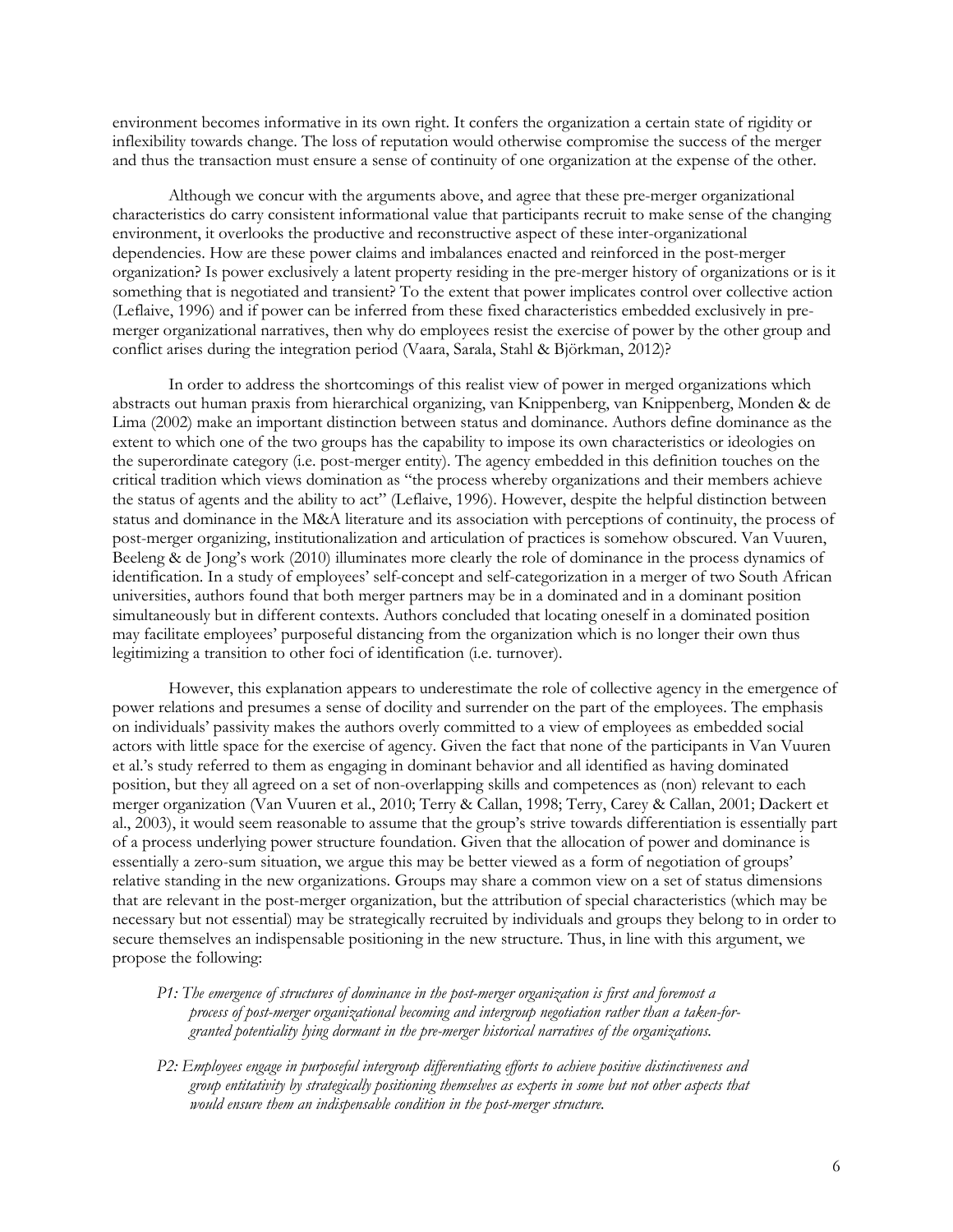environment becomes informative in its own right. It confers the organization a certain state of rigidity or inflexibility towards change. The loss of reputation would otherwise compromise the success of the merger and thus the transaction must ensure a sense of continuity of one organization at the expense of the other.

Although we concur with the arguments above, and agree that these pre-merger organizational characteristics do carry consistent informational value that participants recruit to make sense of the changing environment, it overlooks the productive and reconstructive aspect of these inter-organizational dependencies. How are these power claims and imbalances enacted and reinforced in the post-merger organization? Is power exclusively a latent property residing in the pre-merger history of organizations or is it something that is negotiated and transient? To the extent that power implicates control over collective action (Leflaive, 1996) and if power can be inferred from these fixed characteristics embedded exclusively in premerger organizational narratives, then why do employees resist the exercise of power by the other group and conflict arises during the integration period (Vaara, Sarala, Stahl & Björkman, 2012)?

In order to address the shortcomings of this realist view of power in merged organizations which abstracts out human praxis from hierarchical organizing, van Knippenberg, van Knippenberg, Monden & de Lima (2002) make an important distinction between status and dominance. Authors define dominance as the extent to which one of the two groups has the capability to impose its own characteristics or ideologies on the superordinate category (i.e. post-merger entity). The agency embedded in this definition touches on the critical tradition which views domination as "the process whereby organizations and their members achieve the status of agents and the ability to act" (Leflaive, 1996). However, despite the helpful distinction between status and dominance in the M&A literature and its association with perceptions of continuity, the process of post-merger organizing, institutionalization and articulation of practices is somehow obscured. Van Vuuren, Beeleng & de Jong's work (2010) illuminates more clearly the role of dominance in the process dynamics of identification. In a study of employees' self-concept and self-categorization in a merger of two South African universities, authors found that both merger partners may be in a dominated and in a dominant position simultaneously but in different contexts. Authors concluded that locating oneself in a dominated position may facilitate employees' purposeful distancing from the organization which is no longer their own thus legitimizing a transition to other foci of identification (i.e. turnover).

However, this explanation appears to underestimate the role of collective agency in the emergence of power relations and presumes a sense of docility and surrender on the part of the employees. The emphasis on individuals' passivity makes the authors overly committed to a view of employees as embedded social actors with little space for the exercise of agency. Given the fact that none of the participants in Van Vuuren et al.'s study referred to them as engaging in dominant behavior and all identified as having dominated position, but they all agreed on a set of non-overlapping skills and competences as (non) relevant to each merger organization (Van Vuuren et al., 2010; Terry & Callan, 1998; Terry, Carey & Callan, 2001; Dackert et al., 2003), it would seem reasonable to assume that the group's strive towards differentiation is essentially part of a process underlying power structure foundation. Given that the allocation of power and dominance is essentially a zero-sum situation, we argue this may be better viewed as a form of negotiation of groups' relative standing in the new organizations. Groups may share a common view on a set of status dimensions that are relevant in the post-merger organization, but the attribution of special characteristics (which may be necessary but not essential) may be strategically recruited by individuals and groups they belong to in order to secure themselves an indispensable positioning in the new structure. Thus, in line with this argument, we propose the following:

- *P1: The emergence of structures of dominance in the post-merger organization is first and foremost a process of post-merger organizational becoming and intergroup negotiation rather than a taken-forgranted potentiality lying dormant in the pre-merger historical narratives of the organizations.*
- *P2: Employees engage in purposeful intergroup differentiating efforts to achieve positive distinctiveness and group entitativity by strategically positioning themselves as experts in some but not other aspects that would ensure them an indispensable condition in the post-merger structure.*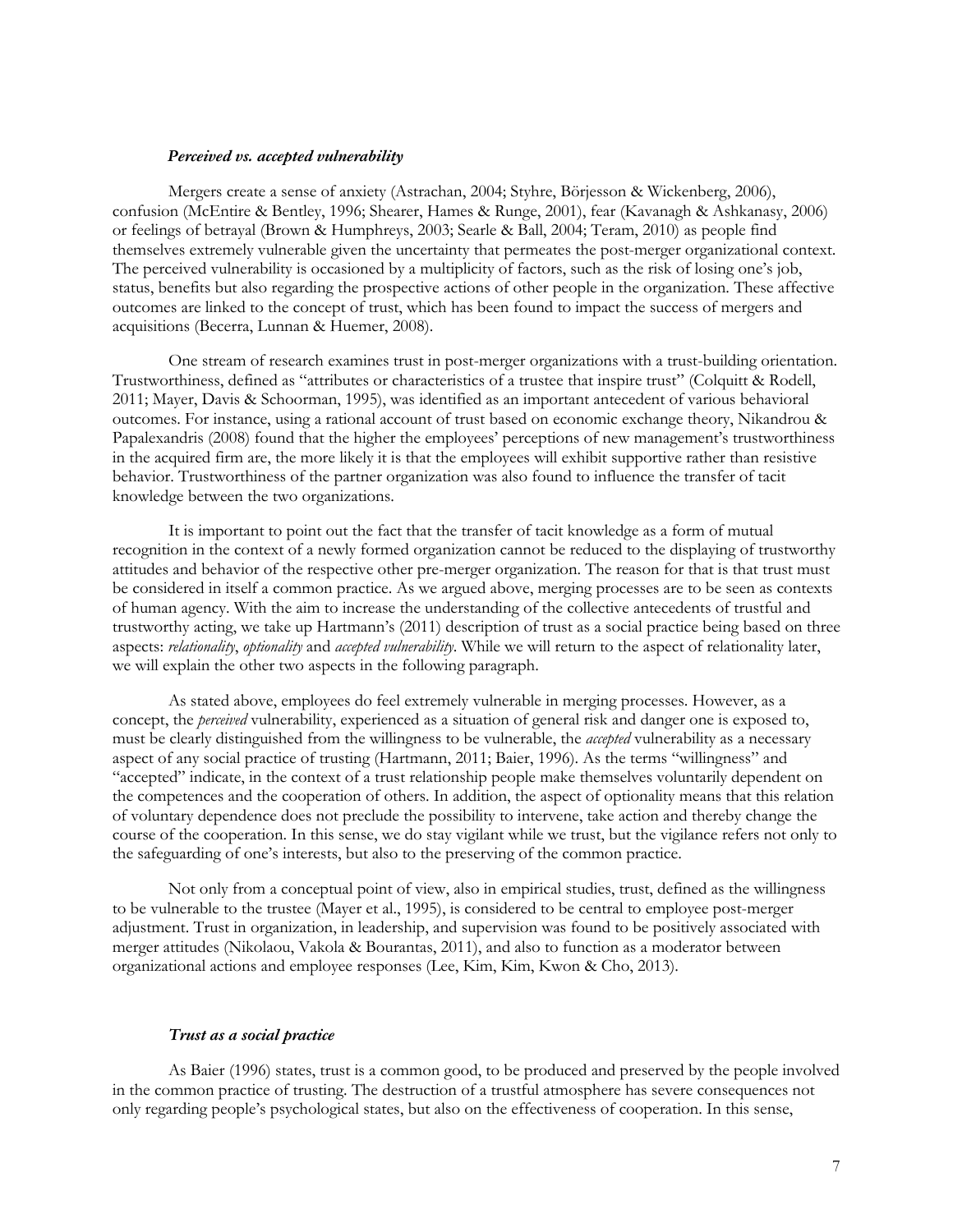#### *Perceived vs. accepted vulnerability*

Mergers create a sense of anxiety (Astrachan, 2004; Styhre, Börjesson & Wickenberg, 2006), confusion (McEntire & Bentley, 1996; Shearer, Hames & Runge, 2001), fear (Kavanagh & Ashkanasy, 2006) or feelings of betrayal (Brown & Humphreys, 2003; Searle & Ball, 2004; Teram, 2010) as people find themselves extremely vulnerable given the uncertainty that permeates the post-merger organizational context. The perceived vulnerability is occasioned by a multiplicity of factors, such as the risk of losing one's job, status, benefits but also regarding the prospective actions of other people in the organization. These affective outcomes are linked to the concept of trust, which has been found to impact the success of mergers and acquisitions (Becerra, Lunnan & Huemer, 2008).

One stream of research examines trust in post-merger organizations with a trust-building orientation. Trustworthiness, defined as "attributes or characteristics of a trustee that inspire trust" (Colquitt & Rodell, 2011; Mayer, Davis & Schoorman, 1995), was identified as an important antecedent of various behavioral outcomes. For instance, using a rational account of trust based on economic exchange theory, Nikandrou & Papalexandris (2008) found that the higher the employees' perceptions of new management's trustworthiness in the acquired firm are, the more likely it is that the employees will exhibit supportive rather than resistive behavior. Trustworthiness of the partner organization was also found to influence the transfer of tacit knowledge between the two organizations.

It is important to point out the fact that the transfer of tacit knowledge as a form of mutual recognition in the context of a newly formed organization cannot be reduced to the displaying of trustworthy attitudes and behavior of the respective other pre-merger organization. The reason for that is that trust must be considered in itself a common practice. As we argued above, merging processes are to be seen as contexts of human agency. With the aim to increase the understanding of the collective antecedents of trustful and trustworthy acting, we take up Hartmann's (2011) description of trust as a social practice being based on three aspects: *relationality*, *optionality* and *accepted vulnerability*. While we will return to the aspect of relationality later, we will explain the other two aspects in the following paragraph.

As stated above, employees do feel extremely vulnerable in merging processes. However, as a concept, the *perceived* vulnerability, experienced as a situation of general risk and danger one is exposed to, must be clearly distinguished from the willingness to be vulnerable, the *accepted* vulnerability as a necessary aspect of any social practice of trusting (Hartmann, 2011; Baier, 1996). As the terms "willingness" and "accepted" indicate, in the context of a trust relationship people make themselves voluntarily dependent on the competences and the cooperation of others. In addition, the aspect of optionality means that this relation of voluntary dependence does not preclude the possibility to intervene, take action and thereby change the course of the cooperation. In this sense, we do stay vigilant while we trust, but the vigilance refers not only to the safeguarding of one's interests, but also to the preserving of the common practice.

Not only from a conceptual point of view, also in empirical studies, trust, defined as the willingness to be vulnerable to the trustee (Mayer et al., 1995), is considered to be central to employee post-merger adjustment. Trust in organization, in leadership, and supervision was found to be positively associated with merger attitudes (Nikolaou, Vakola & Bourantas, 2011), and also to function as a moderator between organizational actions and employee responses (Lee, Kim, Kim, Kwon & Cho, 2013).

# *Trust as a social practice*

As Baier (1996) states, trust is a common good, to be produced and preserved by the people involved in the common practice of trusting. The destruction of a trustful atmosphere has severe consequences not only regarding people's psychological states, but also on the effectiveness of cooperation. In this sense,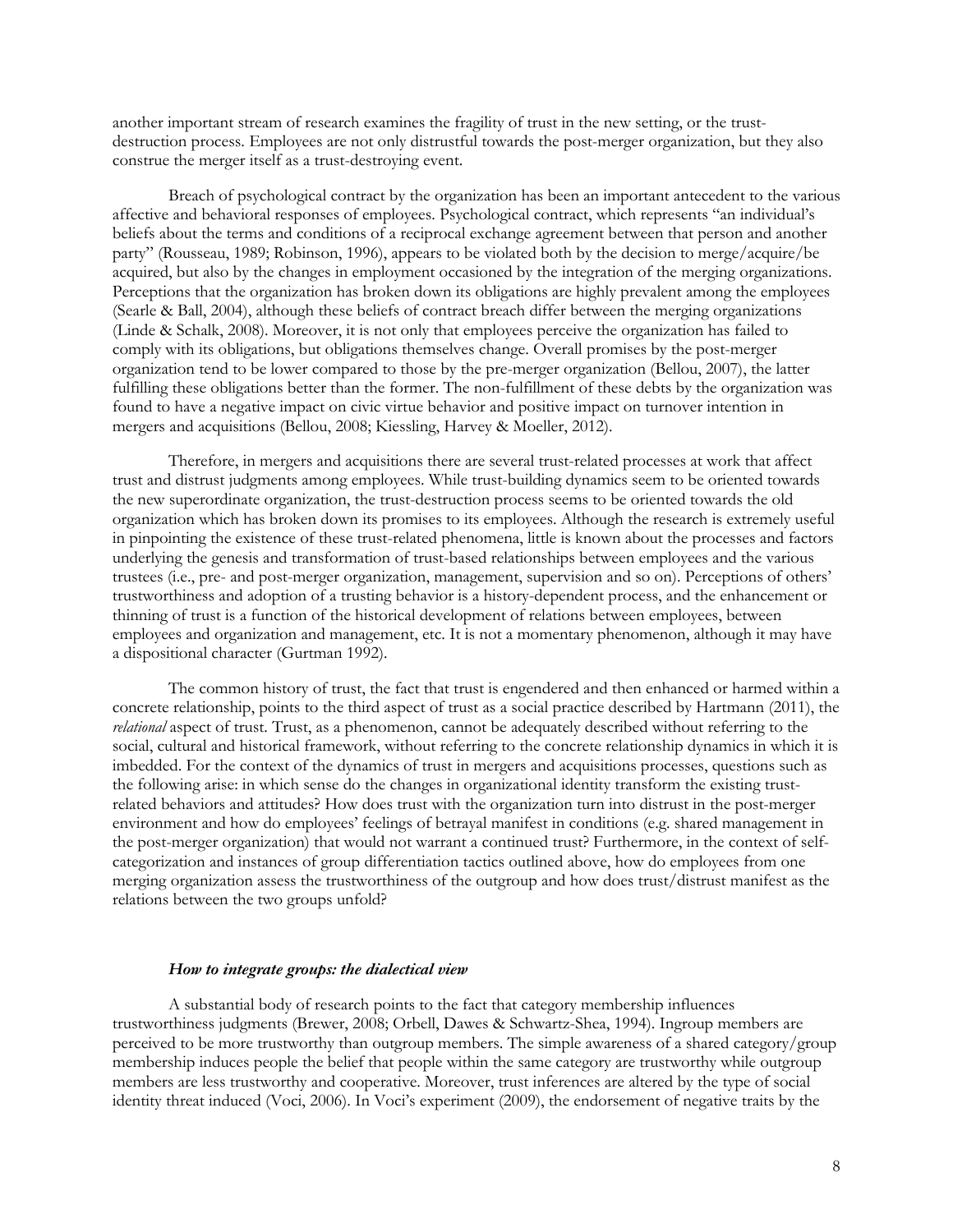another important stream of research examines the fragility of trust in the new setting, or the trustdestruction process. Employees are not only distrustful towards the post-merger organization, but they also construe the merger itself as a trust-destroying event.

Breach of psychological contract by the organization has been an important antecedent to the various affective and behavioral responses of employees. Psychological contract, which represents "an individual's beliefs about the terms and conditions of a reciprocal exchange agreement between that person and another party" (Rousseau, 1989; Robinson, 1996), appears to be violated both by the decision to merge/acquire/be acquired, but also by the changes in employment occasioned by the integration of the merging organizations. Perceptions that the organization has broken down its obligations are highly prevalent among the employees (Searle & Ball, 2004), although these beliefs of contract breach differ between the merging organizations (Linde & Schalk, 2008). Moreover, it is not only that employees perceive the organization has failed to comply with its obligations, but obligations themselves change. Overall promises by the post-merger organization tend to be lower compared to those by the pre-merger organization (Bellou, 2007), the latter fulfilling these obligations better than the former. The non-fulfillment of these debts by the organization was found to have a negative impact on civic virtue behavior and positive impact on turnover intention in mergers and acquisitions (Bellou, 2008; Kiessling, Harvey & Moeller, 2012).

Therefore, in mergers and acquisitions there are several trust-related processes at work that affect trust and distrust judgments among employees. While trust-building dynamics seem to be oriented towards the new superordinate organization, the trust-destruction process seems to be oriented towards the old organization which has broken down its promises to its employees. Although the research is extremely useful in pinpointing the existence of these trust-related phenomena, little is known about the processes and factors underlying the genesis and transformation of trust-based relationships between employees and the various trustees (i.e., pre- and post-merger organization, management, supervision and so on). Perceptions of others' trustworthiness and adoption of a trusting behavior is a history-dependent process, and the enhancement or thinning of trust is a function of the historical development of relations between employees, between employees and organization and management, etc. It is not a momentary phenomenon, although it may have a dispositional character (Gurtman 1992).

The common history of trust, the fact that trust is engendered and then enhanced or harmed within a concrete relationship, points to the third aspect of trust as a social practice described by Hartmann (2011), the *relational* aspect of trust. Trust, as a phenomenon, cannot be adequately described without referring to the social, cultural and historical framework, without referring to the concrete relationship dynamics in which it is imbedded. For the context of the dynamics of trust in mergers and acquisitions processes, questions such as the following arise: in which sense do the changes in organizational identity transform the existing trustrelated behaviors and attitudes? How does trust with the organization turn into distrust in the post-merger environment and how do employees' feelings of betrayal manifest in conditions (e.g. shared management in the post-merger organization) that would not warrant a continued trust? Furthermore, in the context of selfcategorization and instances of group differentiation tactics outlined above, how do employees from one merging organization assess the trustworthiness of the outgroup and how does trust/distrust manifest as the relations between the two groups unfold?

## *How to integrate groups: the dialectical view*

A substantial body of research points to the fact that category membership influences trustworthiness judgments (Brewer, 2008; Orbell, Dawes & Schwartz-Shea, 1994). Ingroup members are perceived to be more trustworthy than outgroup members. The simple awareness of a shared category/group membership induces people the belief that people within the same category are trustworthy while outgroup members are less trustworthy and cooperative. Moreover, trust inferences are altered by the type of social identity threat induced (Voci, 2006). In Voci's experiment (2009), the endorsement of negative traits by the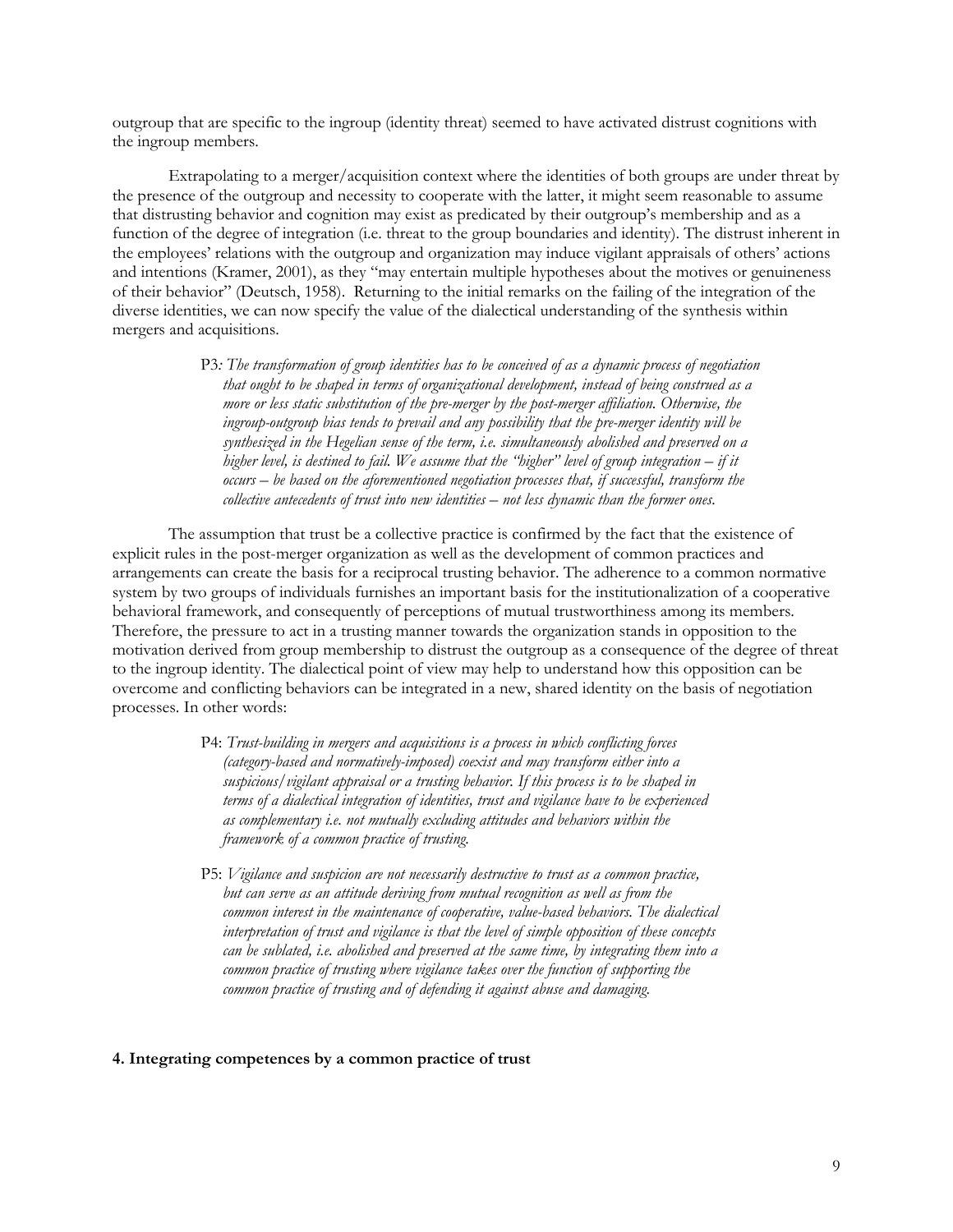outgroup that are specific to the ingroup (identity threat) seemed to have activated distrust cognitions with the ingroup members.

Extrapolating to a merger/acquisition context where the identities of both groups are under threat by the presence of the outgroup and necessity to cooperate with the latter, it might seem reasonable to assume that distrusting behavior and cognition may exist as predicated by their outgroup's membership and as a function of the degree of integration (i.e. threat to the group boundaries and identity). The distrust inherent in the employees' relations with the outgroup and organization may induce vigilant appraisals of others' actions and intentions (Kramer, 2001), as they "may entertain multiple hypotheses about the motives or genuineness of their behavior" (Deutsch, 1958). Returning to the initial remarks on the failing of the integration of the diverse identities, we can now specify the value of the dialectical understanding of the synthesis within mergers and acquisitions.

> P3*: The transformation of group identities has to be conceived of as a dynamic process of negotiation that ought to be shaped in terms of organizational development, instead of being construed as a more or less static substitution of the pre-merger by the post-merger affiliation. Otherwise, the ingroup-outgroup bias tends to prevail and any possibility that the pre-merger identity will be synthesized in the Hegelian sense of the term, i.e. simultaneously abolished and preserved on a higher level, is destined to fail. We assume that the "higher" level of group integration – if it occurs – be based on the aforementioned negotiation processes that, if successful, transform the collective antecedents of trust into new identities – not less dynamic than the former ones.*

The assumption that trust be a collective practice is confirmed by the fact that the existence of explicit rules in the post-merger organization as well as the development of common practices and arrangements can create the basis for a reciprocal trusting behavior. The adherence to a common normative system by two groups of individuals furnishes an important basis for the institutionalization of a cooperative behavioral framework, and consequently of perceptions of mutual trustworthiness among its members. Therefore, the pressure to act in a trusting manner towards the organization stands in opposition to the motivation derived from group membership to distrust the outgroup as a consequence of the degree of threat to the ingroup identity. The dialectical point of view may help to understand how this opposition can be overcome and conflicting behaviors can be integrated in a new, shared identity on the basis of negotiation processes. In other words:

- P4: *Trust-building in mergers and acquisitions is a process in which conflicting forces (category-based and normatively-imposed) coexist and may transform either into a suspicious/vigilant appraisal or a trusting behavior. If this process is to be shaped in terms of a dialectical integration of identities, trust and vigilance have to be experienced as complementary i.e. not mutually excluding attitudes and behaviors within the framework of a common practice of trusting.*
- P5: *Vigilance and suspicion are not necessarily destructive to trust as a common practice, but can serve as an attitude deriving from mutual recognition as well as from the common interest in the maintenance of cooperative, value-based behaviors. The dialectical interpretation of trust and vigilance is that the level of simple opposition of these concepts can be sublated, i.e. abolished and preserved at the same time, by integrating them into a common practice of trusting where vigilance takes over the function of supporting the common practice of trusting and of defending it against abuse and damaging.*

## **4. Integrating competences by a common practice of trust**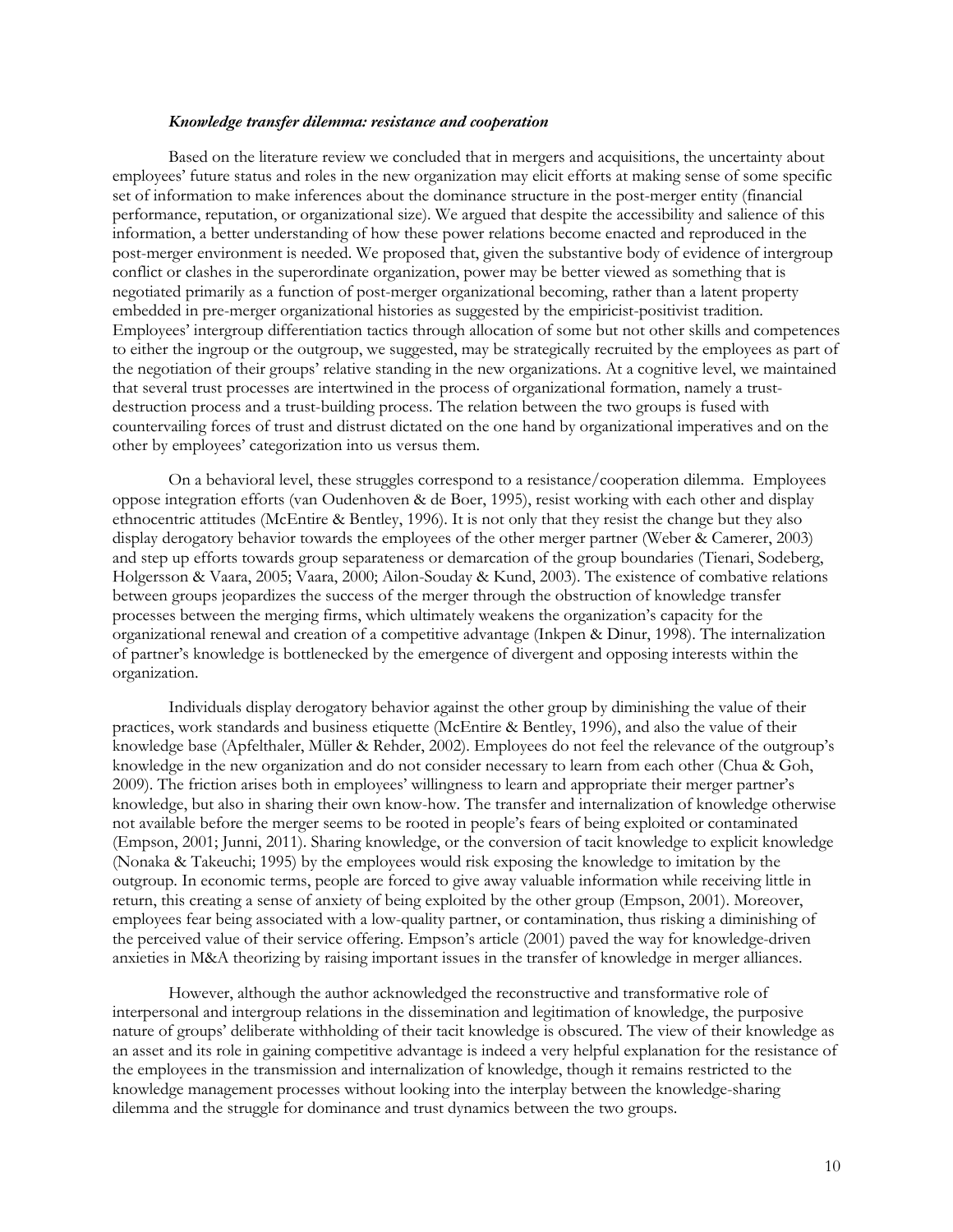#### *Knowledge transfer dilemma: resistance and cooperation*

Based on the literature review we concluded that in mergers and acquisitions, the uncertainty about employees' future status and roles in the new organization may elicit efforts at making sense of some specific set of information to make inferences about the dominance structure in the post-merger entity (financial performance, reputation, or organizational size). We argued that despite the accessibility and salience of this information, a better understanding of how these power relations become enacted and reproduced in the post-merger environment is needed. We proposed that, given the substantive body of evidence of intergroup conflict or clashes in the superordinate organization, power may be better viewed as something that is negotiated primarily as a function of post-merger organizational becoming, rather than a latent property embedded in pre-merger organizational histories as suggested by the empiricist-positivist tradition. Employees' intergroup differentiation tactics through allocation of some but not other skills and competences to either the ingroup or the outgroup, we suggested, may be strategically recruited by the employees as part of the negotiation of their groups' relative standing in the new organizations. At a cognitive level, we maintained that several trust processes are intertwined in the process of organizational formation, namely a trustdestruction process and a trust-building process. The relation between the two groups is fused with countervailing forces of trust and distrust dictated on the one hand by organizational imperatives and on the other by employees' categorization into us versus them.

On a behavioral level, these struggles correspond to a resistance/cooperation dilemma. Employees oppose integration efforts (van Oudenhoven & de Boer, 1995), resist working with each other and display ethnocentric attitudes (McEntire & Bentley, 1996). It is not only that they resist the change but they also display derogatory behavior towards the employees of the other merger partner (Weber & Camerer, 2003) and step up efforts towards group separateness or demarcation of the group boundaries (Tienari, Sodeberg, Holgersson & Vaara, 2005; Vaara, 2000; Ailon-Souday & Kund, 2003). The existence of combative relations between groups jeopardizes the success of the merger through the obstruction of knowledge transfer processes between the merging firms, which ultimately weakens the organization's capacity for the organizational renewal and creation of a competitive advantage (Inkpen & Dinur, 1998). The internalization of partner's knowledge is bottlenecked by the emergence of divergent and opposing interests within the organization.

Individuals display derogatory behavior against the other group by diminishing the value of their practices, work standards and business etiquette (McEntire & Bentley, 1996), and also the value of their knowledge base (Apfelthaler, Müller & Rehder, 2002). Employees do not feel the relevance of the outgroup's knowledge in the new organization and do not consider necessary to learn from each other (Chua & Goh, 2009). The friction arises both in employees' willingness to learn and appropriate their merger partner's knowledge, but also in sharing their own know-how. The transfer and internalization of knowledge otherwise not available before the merger seems to be rooted in people's fears of being exploited or contaminated (Empson, 2001; Junni, 2011). Sharing knowledge, or the conversion of tacit knowledge to explicit knowledge (Nonaka & Takeuchi; 1995) by the employees would risk exposing the knowledge to imitation by the outgroup. In economic terms, people are forced to give away valuable information while receiving little in return, this creating a sense of anxiety of being exploited by the other group (Empson, 2001). Moreover, employees fear being associated with a low-quality partner, or contamination, thus risking a diminishing of the perceived value of their service offering. Empson's article (2001) paved the way for knowledge-driven anxieties in M&A theorizing by raising important issues in the transfer of knowledge in merger alliances.

However, although the author acknowledged the reconstructive and transformative role of interpersonal and intergroup relations in the dissemination and legitimation of knowledge, the purposive nature of groups' deliberate withholding of their tacit knowledge is obscured. The view of their knowledge as an asset and its role in gaining competitive advantage is indeed a very helpful explanation for the resistance of the employees in the transmission and internalization of knowledge, though it remains restricted to the knowledge management processes without looking into the interplay between the knowledge-sharing dilemma and the struggle for dominance and trust dynamics between the two groups.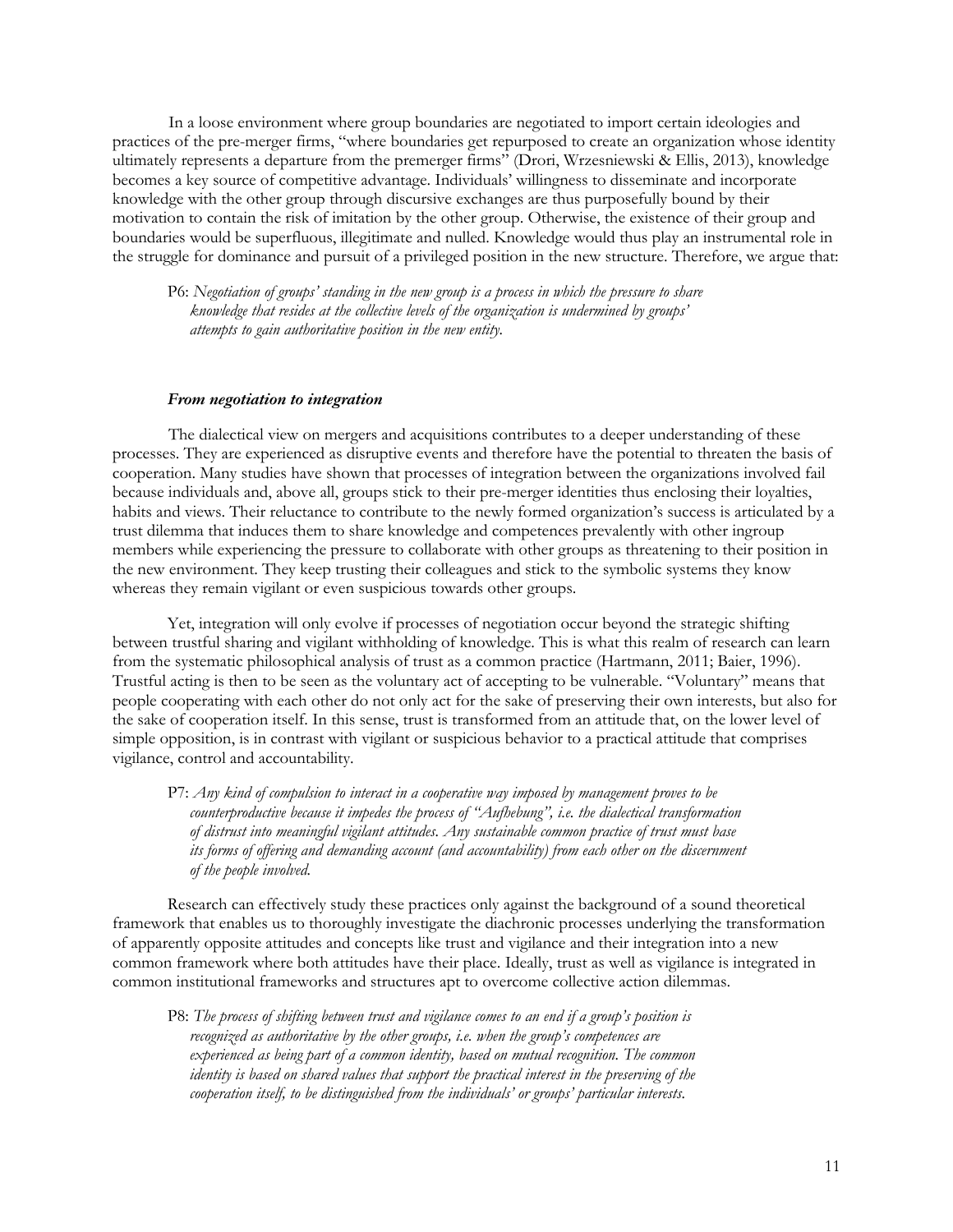In a loose environment where group boundaries are negotiated to import certain ideologies and practices of the pre-merger firms, "where boundaries get repurposed to create an organization whose identity ultimately represents a departure from the premerger firms" (Drori, Wrzesniewski & Ellis, 2013), knowledge becomes a key source of competitive advantage. Individuals' willingness to disseminate and incorporate knowledge with the other group through discursive exchanges are thus purposefully bound by their motivation to contain the risk of imitation by the other group. Otherwise, the existence of their group and boundaries would be superfluous, illegitimate and nulled. Knowledge would thus play an instrumental role in the struggle for dominance and pursuit of a privileged position in the new structure. Therefore, we argue that:

P6: *Negotiation of groups' standing in the new group is a process in which the pressure to share knowledge that resides at the collective levels of the organization is undermined by groups' attempts to gain authoritative position in the new entity.*

## *From negotiation to integration*

The dialectical view on mergers and acquisitions contributes to a deeper understanding of these processes. They are experienced as disruptive events and therefore have the potential to threaten the basis of cooperation. Many studies have shown that processes of integration between the organizations involved fail because individuals and, above all, groups stick to their pre-merger identities thus enclosing their loyalties, habits and views. Their reluctance to contribute to the newly formed organization's success is articulated by a trust dilemma that induces them to share knowledge and competences prevalently with other ingroup members while experiencing the pressure to collaborate with other groups as threatening to their position in the new environment. They keep trusting their colleagues and stick to the symbolic systems they know whereas they remain vigilant or even suspicious towards other groups.

Yet, integration will only evolve if processes of negotiation occur beyond the strategic shifting between trustful sharing and vigilant withholding of knowledge. This is what this realm of research can learn from the systematic philosophical analysis of trust as a common practice (Hartmann, 2011; Baier, 1996). Trustful acting is then to be seen as the voluntary act of accepting to be vulnerable. "Voluntary" means that people cooperating with each other do not only act for the sake of preserving their own interests, but also for the sake of cooperation itself. In this sense, trust is transformed from an attitude that, on the lower level of simple opposition, is in contrast with vigilant or suspicious behavior to a practical attitude that comprises vigilance, control and accountability.

P7: *Any kind of compulsion to interact in a cooperative way imposed by management proves to be counterproductive because it impedes the process of "Aufhebung", i.e. the dialectical transformation of distrust into meaningful vigilant attitudes. Any sustainable common practice of trust must base its forms of offering and demanding account (and accountability) from each other on the discernment of the people involved.*

Research can effectively study these practices only against the background of a sound theoretical framework that enables us to thoroughly investigate the diachronic processes underlying the transformation of apparently opposite attitudes and concepts like trust and vigilance and their integration into a new common framework where both attitudes have their place. Ideally, trust as well as vigilance is integrated in common institutional frameworks and structures apt to overcome collective action dilemmas.

P8: *The process of shifting between trust and vigilance comes to an end if a group's position is recognized as authoritative by the other groups, i.e. when the group's competences are experienced as being part of a common identity, based on mutual recognition. The common identity is based on shared values that support the practical interest in the preserving of the cooperation itself, to be distinguished from the individuals' or groups' particular interests.*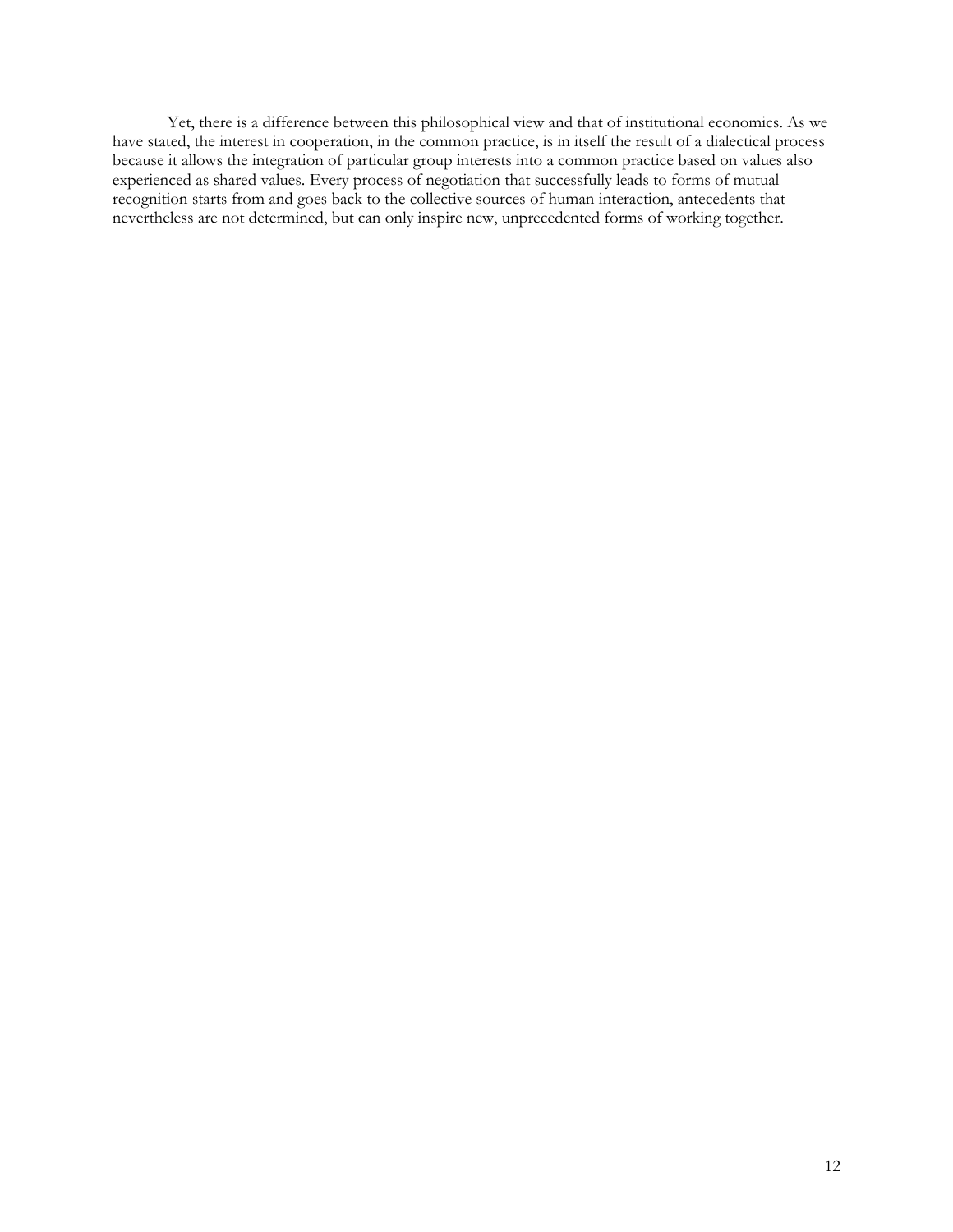Yet, there is a difference between this philosophical view and that of institutional economics. As we have stated, the interest in cooperation, in the common practice, is in itself the result of a dialectical process because it allows the integration of particular group interests into a common practice based on values also experienced as shared values. Every process of negotiation that successfully leads to forms of mutual recognition starts from and goes back to the collective sources of human interaction, antecedents that nevertheless are not determined, but can only inspire new, unprecedented forms of working together.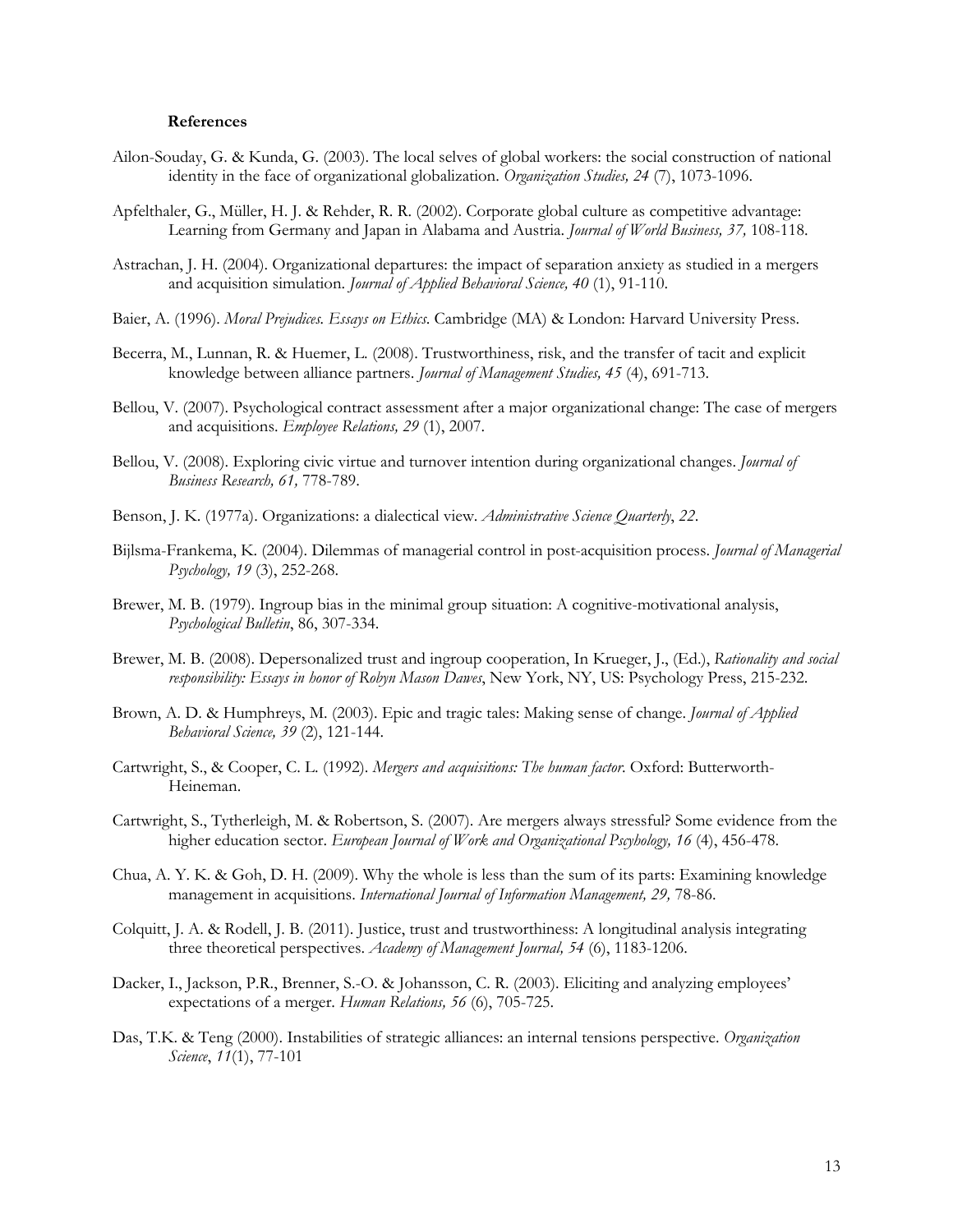#### **References**

- Ailon-Souday, G. & Kunda, G. (2003). The local selves of global workers: the social construction of national identity in the face of organizational globalization. *Organization Studies, 24* (7), 1073-1096.
- Apfelthaler, G., Müller, H. J. & Rehder, R. R. (2002). Corporate global culture as competitive advantage: Learning from Germany and Japan in Alabama and Austria. *Journal of World Business, 37,* 108-118.
- Astrachan, J. H. (2004). Organizational departures: the impact of separation anxiety as studied in a mergers and acquisition simulation. *Journal of Applied Behavioral Science, 40* (1), 91-110.
- Baier, A. (1996). *Moral Prejudices. Essays on Ethics*. Cambridge (MA) & London: Harvard University Press.
- Becerra, M., Lunnan, R. & Huemer, L. (2008). Trustworthiness, risk, and the transfer of tacit and explicit knowledge between alliance partners. *Journal of Management Studies, 45* (4), 691-713.
- Bellou, V. (2007). Psychological contract assessment after a major organizational change: The case of mergers and acquisitions. *Employee Relations, 29* (1), 2007.
- Bellou, V. (2008). Exploring civic virtue and turnover intention during organizational changes. *Journal of Business Research, 61,* 778-789.
- Benson, J. K. (1977a). Organizations: a dialectical view. *Administrative Science Quarterly*, *22*.
- Bijlsma-Frankema, K. (2004). Dilemmas of managerial control in post-acquisition process. *Journal of Managerial Psychology, 19* (3), 252-268.
- Brewer, M. B. (1979). Ingroup bias in the minimal group situation: A cognitive-motivational analysis, *Psychological Bulletin*, 86, 307-334.
- Brewer, M. B. (2008). Depersonalized trust and ingroup cooperation, In Krueger, J., (Ed.), *Rationality and social responsibility: Essays in honor of Robyn Mason Dawes*, New York, NY, US: Psychology Press, 215-232.
- Brown, A. D. & Humphreys, M. (2003). Epic and tragic tales: Making sense of change. *Journal of Applied Behavioral Science, 39* (2), 121-144.
- Cartwright, S., & Cooper, C. L. (1992). *Mergers and acquisitions: The human factor*. Oxford: Butterworth-Heineman.
- Cartwright, S., Tytherleigh, M. & Robertson, S. (2007). Are mergers always stressful? Some evidence from the higher education sector. *European Journal of Work and Organizational Pscyhology, 16* (4), 456-478.
- Chua, A. Y. K. & Goh, D. H. (2009). Why the whole is less than the sum of its parts: Examining knowledge management in acquisitions. *International Journal of Information Management, 29, 78-86*.
- Colquitt, J. A. & Rodell, J. B. (2011). Justice, trust and trustworthiness: A longitudinal analysis integrating three theoretical perspectives. *Academy of Management Journal, 54* (6), 1183-1206.
- Dacker, I., Jackson, P.R., Brenner, S.-O. & Johansson, C. R. (2003). Eliciting and analyzing employees' expectations of a merger. *Human Relations, 56* (6), 705-725.
- Das, T.K. & Teng (2000). Instabilities of strategic alliances: an internal tensions perspective. *Organization Science*, *11*(1), 77-101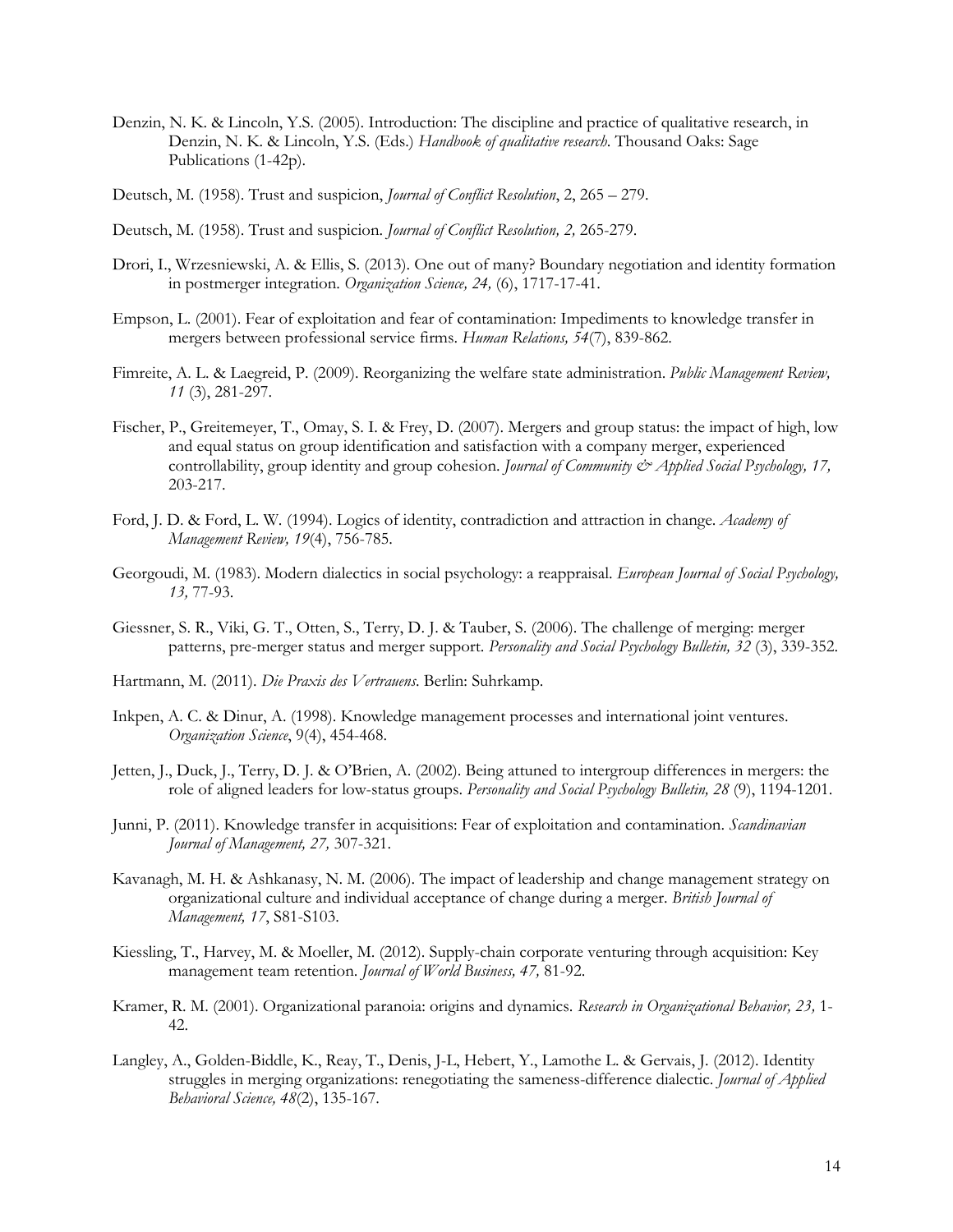- Denzin, N. K. & Lincoln, Y.S. (2005). Introduction: The discipline and practice of qualitative research, in Denzin, N. K. & Lincoln, Y.S. (Eds.) *Handbook of qualitative research*. Thousand Oaks: Sage Publications (1-42p).
- Deutsch, M. (1958). Trust and suspicion, *Journal of Conflict Resolution*, 2, 265 279.
- Deutsch, M. (1958). Trust and suspicion. *Journal of Conflict Resolution, 2,* 265-279.
- Drori, I., Wrzesniewski, A. & Ellis, S. (2013). One out of many? Boundary negotiation and identity formation in postmerger integration. *Organization Science, 24,* (6), 1717-17-41.
- Empson, L. (2001). Fear of exploitation and fear of contamination: Impediments to knowledge transfer in mergers between professional service firms. *Human Relations, 54*(7), 839-862.
- Fimreite, A. L. & Laegreid, P. (2009). Reorganizing the welfare state administration. *Public Management Review, 11* (3), 281-297.
- Fischer, P., Greitemeyer, T., Omay, S. I. & Frey, D. (2007). Mergers and group status: the impact of high, low and equal status on group identification and satisfaction with a company merger, experienced controllability, group identity and group cohesion. *Journal of Community & Applied Social Psychology*, 17, 203-217.
- Ford, J. D. & Ford, L. W. (1994). Logics of identity, contradiction and attraction in change. *Academy of Management Review, 19*(4), 756-785.
- Georgoudi, M. (1983). Modern dialectics in social psychology: a reappraisal. *European Journal of Social Psychology, 13,* 77-93.
- Giessner, S. R., Viki, G. T., Otten, S., Terry, D. J. & Tauber, S. (2006). The challenge of merging: merger patterns, pre-merger status and merger support. *Personality and Social Psychology Bulletin, 32* (3), 339-352.
- Hartmann, M. (2011). *Die Praxis des Vertrauens*. Berlin: Suhrkamp.
- Inkpen, A. C. & Dinur, A. (1998). Knowledge management processes and international joint ventures. *Organization Science*, 9(4), 454-468.
- Jetten, J., Duck, J., Terry, D. J. & O'Brien, A. (2002). Being attuned to intergroup differences in mergers: the role of aligned leaders for low-status groups. *Personality and Social Psychology Bulletin, 28* (9), 1194-1201.
- Junni, P. (2011). Knowledge transfer in acquisitions: Fear of exploitation and contamination. *Scandinavian Journal of Management, 27,* 307-321.
- Kavanagh, M. H. & Ashkanasy, N. M. (2006). The impact of leadership and change management strategy on organizational culture and individual acceptance of change during a merger. *British Journal of Management, 17*, S81-S103.
- Kiessling, T., Harvey, M. & Moeller, M. (2012). Supply-chain corporate venturing through acquisition: Key management team retention. *Journal of World Business, 47,* 81-92.
- Kramer, R. M. (2001). Organizational paranoia: origins and dynamics. *Research in Organizational Behavior, 23,* 1- 42.
- Langley, A., Golden-Biddle, K., Reay, T., Denis, J-L, Hebert, Y., Lamothe L. & Gervais, J. (2012). Identity struggles in merging organizations: renegotiating the sameness-difference dialectic. *Journal of Applied Behavioral Science, 48*(2), 135-167.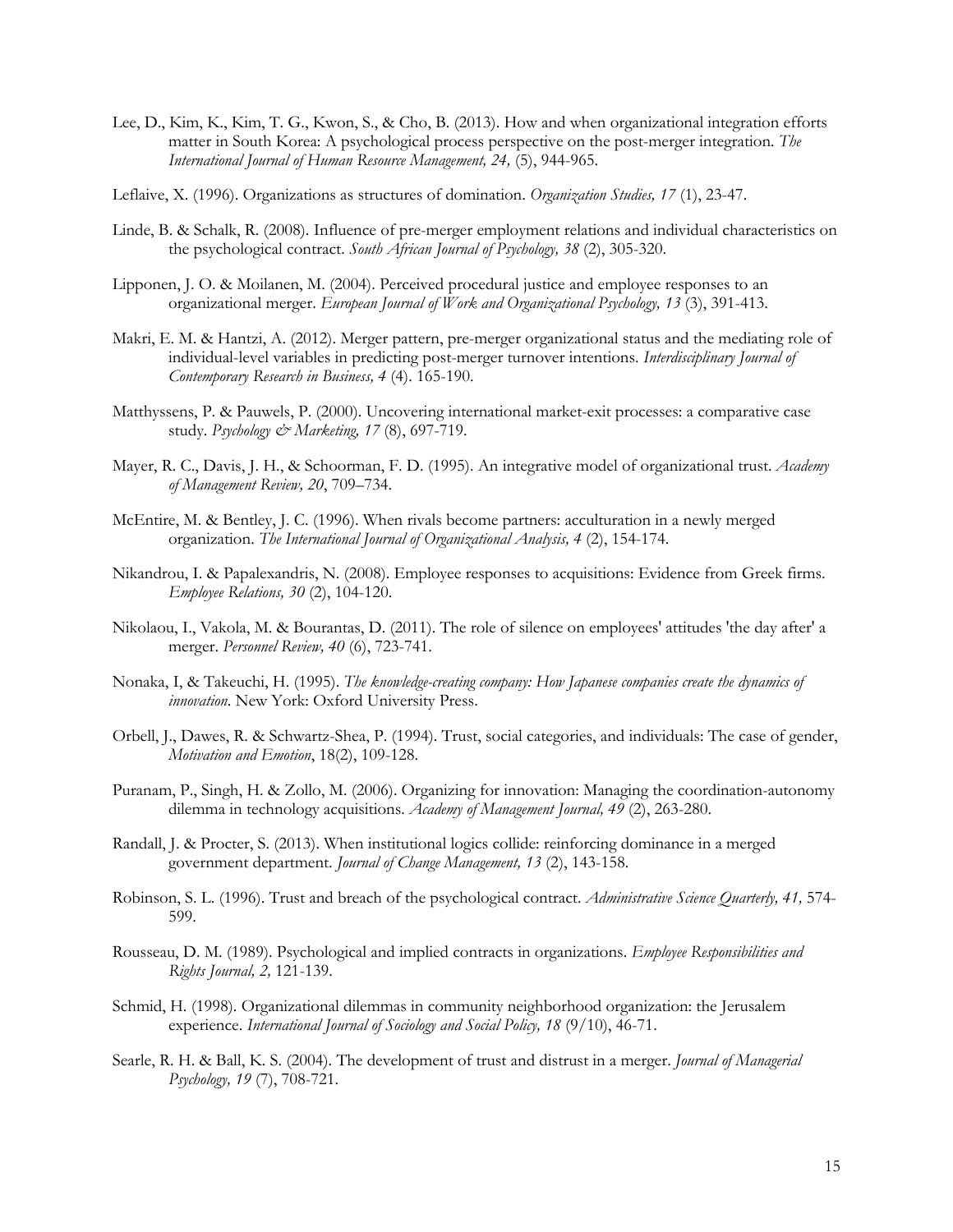- Lee, D., Kim, K., Kim, T. G., Kwon, S., & Cho, B. (2013). How and when organizational integration efforts matter in South Korea: A psychological process perspective on the post-merger integration. *The International Journal of Human Resource Management, 24,* (5), 944-965.
- Leflaive, X. (1996). Organizations as structures of domination. *Organization Studies, 17* (1), 23-47.
- Linde, B. & Schalk, R. (2008). Influence of pre-merger employment relations and individual characteristics on the psychological contract. *South African Journal of Psychology, 38* (2), 305-320.
- Lipponen, J. O. & Moilanen, M. (2004). Perceived procedural justice and employee responses to an organizational merger. *European Journal of Work and Organizational Psychology, 13* (3), 391-413.
- Makri, E. M. & Hantzi, A. (2012). Merger pattern, pre-merger organizational status and the mediating role of individual-level variables in predicting post-merger turnover intentions. *Interdisciplinary Journal of Contemporary Research in Business, 4* (4). 165-190.
- Matthyssens, P. & Pauwels, P. (2000). Uncovering international market-exit processes: a comparative case study. *Psychology & Marketing, 17* (8), 697-719.
- Mayer, R. C., Davis, J. H., & Schoorman, F. D. (1995). An integrative model of organizational trust. *Academy of Management Review, 20*, 709–734.
- McEntire, M. & Bentley, J. C. (1996). When rivals become partners: acculturation in a newly merged organization. *The International Journal of Organizational Analysis, 4* (2), 154-174.
- Nikandrou, I. & Papalexandris, N. (2008). Employee responses to acquisitions: Evidence from Greek firms. *Employee Relations, 30* (2), 104-120.
- Nikolaou, I., Vakola, M. & Bourantas, D. (2011). The role of silence on employees' attitudes 'the day after' a merger. *Personnel Review, 40* (6), 723-741.
- Nonaka, I, & Takeuchi, H. (1995). *The knowledge-creating company: How Japanese companies create the dynamics of innovation*. New York: Oxford University Press.
- Orbell, J., Dawes, R. & Schwartz-Shea, P. (1994). Trust, social categories, and individuals: The case of gender, *Motivation and Emotion*, 18(2), 109-128.
- Puranam, P., Singh, H. & Zollo, M. (2006). Organizing for innovation: Managing the coordination-autonomy dilemma in technology acquisitions. *Academy of Management Journal, 49* (2), 263-280.
- Randall, J. & Procter, S. (2013). When institutional logics collide: reinforcing dominance in a merged government department. *Journal of Change Management, 13* (2), 143-158.
- Robinson, S. L. (1996). Trust and breach of the psychological contract. *Administrative Science Quarterly, 41,* 574- 599.
- Rousseau, D. M. (1989). Psychological and implied contracts in organizations. *Employee Responsibilities and Rights Journal, 2,* 121-139.
- Schmid, H. (1998). Organizational dilemmas in community neighborhood organization: the Jerusalem experience. *International Journal of Sociology and Social Policy, 18* (9/10), 46-71.
- Searle, R. H. & Ball, K. S. (2004). The development of trust and distrust in a merger. *Journal of Managerial Psychology, 19* (7), 708-721.